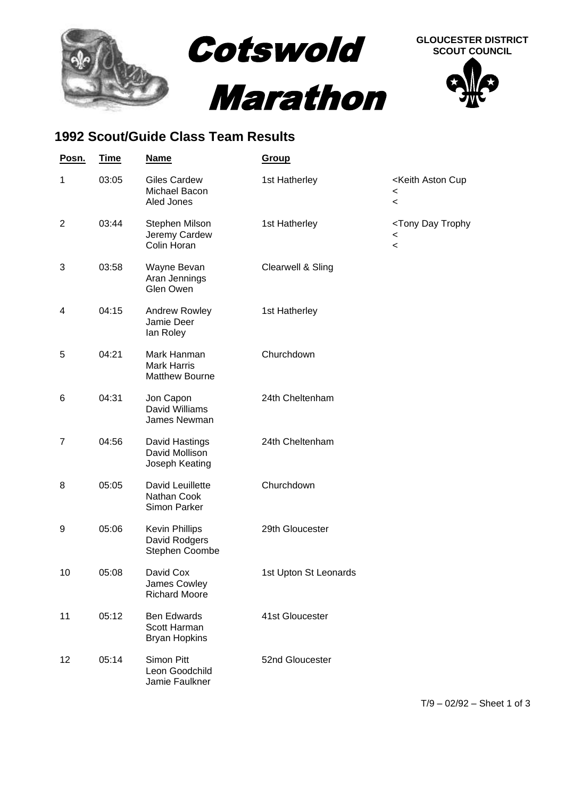

## **1992 Scout/Guide Class Team Results**

| Posn.          | <b>Time</b> | <b>Name</b>                                                | <b>Group</b>          |                                                                                   |
|----------------|-------------|------------------------------------------------------------|-----------------------|-----------------------------------------------------------------------------------|
| 1              | 03:05       | <b>Giles Cardew</b><br>Michael Bacon<br>Aled Jones         | 1st Hatherley         | <keith aston="" cup<br=""><math>\,&lt;\,</math><br/><math>\,&lt;\,</math></keith> |
| $\overline{2}$ | 03:44       | Stephen Milson<br>Jeremy Cardew<br>Colin Horan             | 1st Hatherley         | <tony day="" trophy<br=""><math>\,&lt;\,</math><br/><math>\,&lt;</math></tony>    |
| 3              | 03:58       | Wayne Bevan<br>Aran Jennings<br>Glen Owen                  | Clearwell & Sling     |                                                                                   |
| 4              | 04:15       | Andrew Rowley<br>Jamie Deer<br>lan Roley                   | 1st Hatherley         |                                                                                   |
| 5              | 04:21       | Mark Hanman<br><b>Mark Harris</b><br><b>Matthew Bourne</b> | Churchdown            |                                                                                   |
| 6              | 04:31       | Jon Capon<br>David Williams<br>James Newman                | 24th Cheltenham       |                                                                                   |
| $\overline{7}$ | 04:56       | David Hastings<br>David Mollison<br>Joseph Keating         | 24th Cheltenham       |                                                                                   |
| 8              | 05:05       | David Leuillette<br>Nathan Cook<br>Simon Parker            | Churchdown            |                                                                                   |
| 9              | 05:06       | <b>Kevin Phillips</b><br>David Rodgers<br>Stephen Coombe   | 29th Gloucester       |                                                                                   |
| 10             | 05:08       | David Cox<br>James Cowley<br><b>Richard Moore</b>          | 1st Upton St Leonards |                                                                                   |
| 11             | 05:12       | <b>Ben Edwards</b><br>Scott Harman<br><b>Bryan Hopkins</b> | 41st Gloucester       |                                                                                   |
| 12             | 05:14       | Simon Pitt<br>Leon Goodchild<br>Jamie Faulkner             | 52nd Gloucester       |                                                                                   |

T/9 – 02/92 – Sheet 1 of 3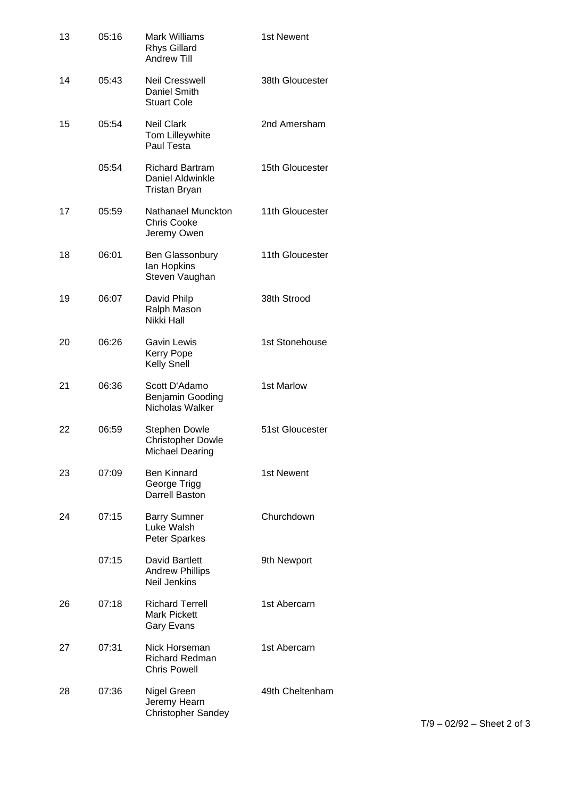| 13 | 05:16 | <b>Mark Williams</b><br><b>Rhys Gillard</b><br><b>Andrew Till</b>          | 1st Newent      |
|----|-------|----------------------------------------------------------------------------|-----------------|
| 14 | 05:43 | <b>Neil Cresswell</b><br>Daniel Smith<br><b>Stuart Cole</b>                | 38th Gloucester |
| 15 | 05:54 | <b>Neil Clark</b><br>Tom Lilleywhite<br>Paul Testa                         | 2nd Amersham    |
|    | 05:54 | <b>Richard Bartram</b><br>Daniel Aldwinkle<br><b>Tristan Bryan</b>         | 15th Gloucester |
| 17 | 05:59 | Nathanael Munckton<br><b>Chris Cooke</b><br>Jeremy Owen                    | 11th Gloucester |
| 18 | 06:01 | Ben Glassonbury<br>lan Hopkins<br>Steven Vaughan                           | 11th Gloucester |
| 19 | 06:07 | David Philp<br>Ralph Mason<br>Nikki Hall                                   | 38th Strood     |
| 20 | 06:26 | Gavin Lewis<br>Kerry Pope<br>Kelly Snell                                   | 1st Stonehouse  |
| 21 | 06:36 | Scott D'Adamo<br>Benjamin Gooding<br>Nicholas Walker                       | 1st Marlow      |
| 22 | 06:59 | <b>Stephen Dowle</b><br><b>Christopher Dowle</b><br><b>Michael Dearing</b> | 51st Gloucester |
| 23 | 07:09 | Ben Kinnard<br>George Trigg<br>Darrell Baston                              | 1st Newent      |
| 24 | 07:15 | <b>Barry Sumner</b><br>Luke Walsh<br><b>Peter Sparkes</b>                  | Churchdown.     |
|    | 07:15 | <b>David Bartlett</b><br><b>Andrew Phillips</b><br><b>Neil Jenkins</b>     | 9th Newport     |
| 26 | 07:18 | <b>Richard Terrell</b><br><b>Mark Pickett</b><br>Gary Evans                | 1st Abercarn    |
| 27 | 07:31 | Nick Horseman<br><b>Richard Redman</b><br><b>Chris Powell</b>              | 1st Abercarn    |
| 28 | 07:36 | Nigel Green<br>Jeremy Hearn<br><b>Christopher Sandey</b>                   | 49th Cheltenham |